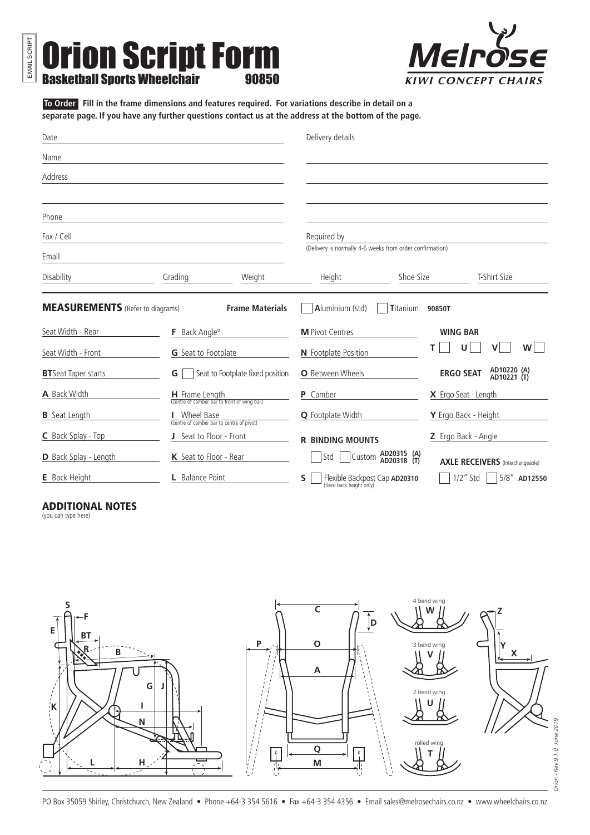**Orion Script Form**<br>Basketball Sports Wheelchair **Sports W** 



**To Order** Fill in the frame dimensions and features required. For variations describe in detail on a separate page. If you have any further questions contact us at the address at the bottom of the page.

| Date                                    |                         |                                                               | Delivery details                                                |                 |                      |                                         |
|-----------------------------------------|-------------------------|---------------------------------------------------------------|-----------------------------------------------------------------|-----------------|----------------------|-----------------------------------------|
| Name                                    |                         |                                                               |                                                                 |                 |                      |                                         |
| Address                                 |                         |                                                               |                                                                 |                 |                      |                                         |
|                                         |                         |                                                               |                                                                 |                 |                      |                                         |
| Phone                                   |                         |                                                               |                                                                 |                 |                      |                                         |
| Fax / Cell                              |                         |                                                               | Required by                                                     |                 |                      |                                         |
| Email                                   |                         |                                                               | (Delivery is normally 4-6 weeks from order confirmation)        |                 |                      |                                         |
| Disability                              | Grading<br>Weight       |                                                               | Height                                                          | Shoe Size       |                      | T-Shirt Size                            |
| <b>MEASUREMENTS</b> (Refer to diagrams) |                         | <b>Frame Materials</b>                                        | Aluminium (std)                                                 | <b>Titanium</b> | 90850T               |                                         |
| Seat Width - Rear                       |                         | F Back Angle <sup>o</sup>                                     |                                                                 |                 | <b>WING BAR</b>      |                                         |
| Seat Width - Front                      |                         | <b>G</b> Seat to Footplate                                    |                                                                 | т               | U                    | W                                       |
| <b>BT</b> Seat Taper starts             | G                       | Seat to Footplate fixed position                              | O Between Wheels                                                |                 | <b>ERGO SEAT</b>     | AD10220 (A)<br>AD10221 (T)              |
| A Back Width                            |                         | H Frame Length<br>(centre of camber bar to front of wing bar) | <b>P</b> Camber                                                 |                 | X Ergo Seat - Length |                                         |
| <b>B</b> Seat Length                    |                         | Wheel Base<br>(centre of camber bar to centre of pivot)       |                                                                 |                 | Y Ergo Back - Height |                                         |
| C Back Splay - Top                      | J Seat to Floor - Front |                                                               | <b>R BINDING MOUNTS</b>                                         |                 | Z Ergo Back - Angle  |                                         |
| D Back Splay - Length                   | K Seat to Floor - Rear  |                                                               | Std<br>Custom AD20318 (T)                                       | AD20315 (A)     |                      | <b>AXLE RECEIVERS</b> (Interchangeable) |
| <b>E</b> Back Height                    | L Balance Point         |                                                               | Flexible Backpost Cap AD20310<br>S.<br>(fixed back height only) |                 | $1/2$ " Std          | $5/8$ " AD12550                         |

## ADDITIONAL NOTES

(you can type here)

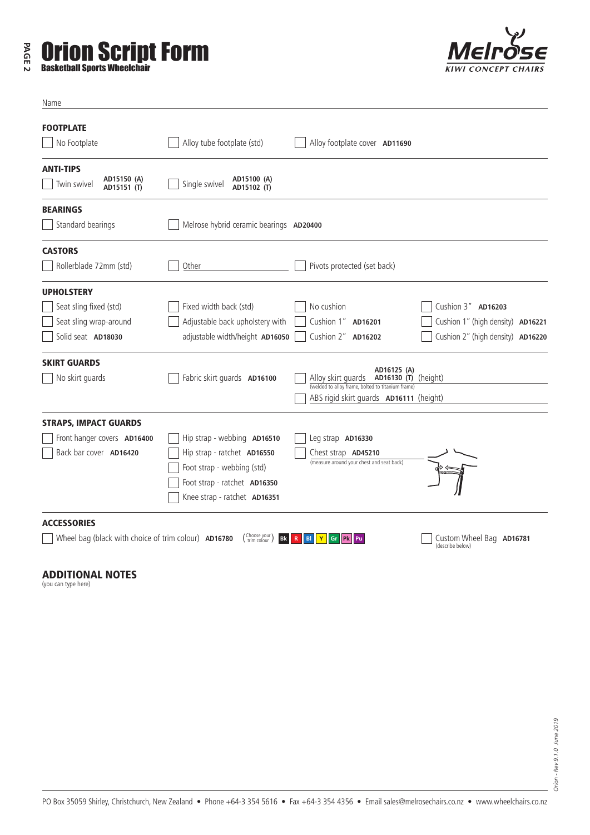## **PAGE 2 Orion Script Form**



| Name                                                                                        |                                                                                                                                                          |                                                                                                                                                               |
|---------------------------------------------------------------------------------------------|----------------------------------------------------------------------------------------------------------------------------------------------------------|---------------------------------------------------------------------------------------------------------------------------------------------------------------|
| <b>FOOTPLATE</b><br>No Footplate                                                            | Alloy tube footplate (std)                                                                                                                               | Alloy footplate cover AD11690                                                                                                                                 |
| <b>ANTI-TIPS</b><br>AD15150 (A)<br>Twin swivel<br>AD15151 (T)                               | AD15100 (A)<br>Single swivel<br>AD15102 (T)                                                                                                              |                                                                                                                                                               |
| <b>BEARINGS</b><br>Standard bearings                                                        | Melrose hybrid ceramic bearings AD20400                                                                                                                  |                                                                                                                                                               |
| <b>CASTORS</b><br>Rollerblade 72mm (std)                                                    | Other                                                                                                                                                    | Pivots protected (set back)                                                                                                                                   |
| <b>UPHOLSTERY</b><br>Seat sling fixed (std)<br>Seat sling wrap-around<br>Solid seat AD18030 | Fixed width back (std)<br>Adjustable back upholstery with<br>adjustable width/height AD16050                                                             | Cushion 3" AD16203<br>No cushion<br>Cushion 1" AD16201<br>Cushion 1" (high density) AD16221<br>Cushion 2" AD16202<br>Cushion 2" (high density) AD16220        |
| <b>SKIRT GUARDS</b><br>No skirt guards                                                      | Fabric skirt quards AD16100                                                                                                                              | AD16125 (A)<br>Alloy skirt quards <b>AD16130 (T)</b> (height)<br>(welded to alloy frame, bolted to titanium frame)<br>ABS rigid skirt guards AD16111 (height) |
| <b>STRAPS, IMPACT GUARDS</b><br>Front hanger covers AD16400<br>Back bar cover AD16420       | Hip strap - webbing AD16510<br>Hip strap - ratchet AD16550<br>Foot strap - webbing (std)<br>Foot strap - ratchet AD16350<br>Knee strap - ratchet AD16351 | Leg strap AD16330<br>Chest strap <b>AD45210</b><br>(measure around your chest and seat back)                                                                  |
| <b>ACCESSORIES</b><br>Wheel bag (black with choice of trim colour) AD16780                  | (Choose your)<br><b>Bk</b>                                                                                                                               | Custom Wheel Bag AD16781<br>BI<br>Gr<br><b>Pk</b><br>Pu<br>(describe below)                                                                                   |

## ADDITIONAL NOTES

(you can type here)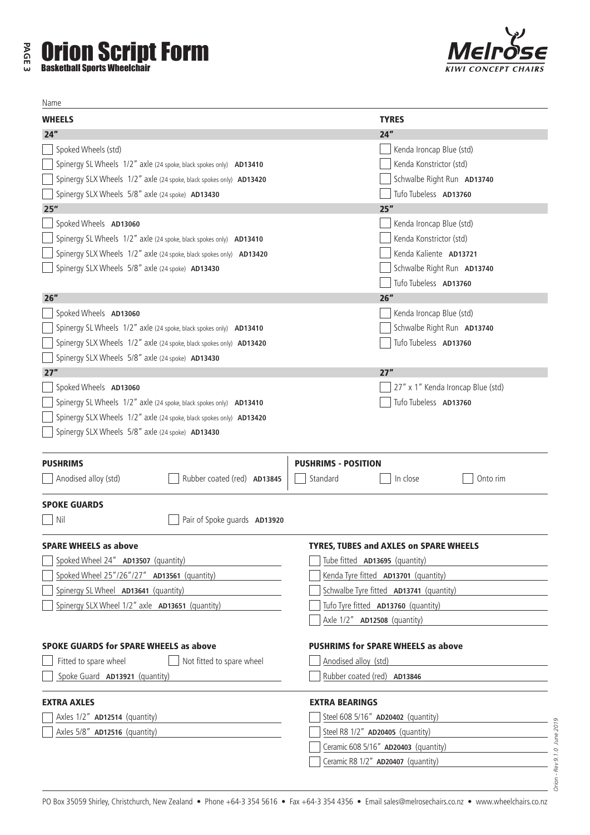| <b>TYRES</b><br>24"<br>Spoked Wheels (std)<br>Kenda Ironcap Blue (std)<br>Kenda Konstrictor (std)<br>Spinergy SL Wheels 1/2" axle (24 spoke, black spokes only) AD13410<br>Spinergy SLX Wheels 1/2" axle (24 spoke, black spokes only) AD13420<br>Schwalbe Right Run AD13740<br>Spinergy SLX Wheels 5/8" axle (24 spoke) AD13430<br>Tufo Tubeless AD13760<br>25''<br>25''<br>Spoked Wheels AD13060<br>Kenda Ironcap Blue (std)<br>Kenda Konstrictor (std)<br>Spinergy SL Wheels 1/2" axle (24 spoke, black spokes only) AD13410<br>Kenda Kaliente AD13721<br>Spinergy SLX Wheels 1/2" axle (24 spoke, black spokes only) AD13420<br>Spinergy SLX Wheels 5/8" axle (24 spoke) AD13430<br>Schwalbe Right Run AD13740<br>Tufo Tubeless AD13760<br>26''<br>26''<br>Spoked Wheels AD13060<br>Kenda Ironcap Blue (std)<br>Spinergy SL Wheels 1/2" axle (24 spoke, black spokes only) AD13410<br>Schwalbe Right Run AD13740<br>Spinergy SLX Wheels 1/2" axle (24 spoke, black spokes only) AD13420<br>Tufo Tubeless AD13760<br>Spinergy SLX Wheels 5/8" axle (24 spoke) AD13430<br>27"<br>27''<br>Spoked Wheels AD13060<br>27" x 1" Kenda Ironcap Blue (std)<br>Tufo Tubeless AD13760<br>Spinergy SL Wheels 1/2" axle (24 spoke, black spokes only) AD13410<br>Spinergy SLX Wheels 1/2" axle (24 spoke, black spokes only) AD13420<br>Spinergy SLX Wheels 5/8" axle (24 spoke) AD13430<br><b>PUSHRIMS - POSITION</b><br><b>PUSHRIMS</b><br>Rubber coated (red) AD13845<br>Anodised alloy (std)<br>Standard<br>In close<br>Onto rim<br><b>SPOKE GUARDS</b><br>Pair of Spoke quards AD13920<br>Nil<br><b>SPARE WHEELS as above</b><br><b>TYRES, TUBES and AXLES on SPARE WHEELS</b><br>Spoked Wheel 24" AD13507 (quantity)<br>Tube fitted AD13695 (quantity)<br>Spoked Wheel 25"/26"/27" AD13561 (quantity)<br>Kenda Tyre fitted AD13701 (quantity)<br>Schwalbe Tyre fitted AD13741 (quantity)<br>Spinergy SL Wheel AD13641 (quantity)<br>the control of the control of the<br>Spinergy SLX Wheel 1/2" axle <b>AD13651</b> (quantity)<br>Tufo Tyre fitted AD13760 (quantity)<br>Axle 1/2" <b>AD12508</b> (quantity)<br><b>SPOKE GUARDS for SPARE WHEELS as above</b><br><b>PUSHRIMS for SPARE WHEELS as above</b><br>Not fitted to spare wheel<br>Fitted to spare wheel<br>Anodised alloy (std)<br>Spoke Guard AD13921 (quantity)<br>Rubber coated (red) AD13846<br><b>EXTRA AXLES</b><br><b>EXTRA BEARINGS</b><br>Axles 1/2" AD12514 (quantity)<br>Steel 608 5/16" AD20402 (quantity)<br>Axles 5/8" AD12516 (quantity)<br>Steel R8 1/2" AD20405 (quantity)<br>Ceramic 608 5/16" AD20403 (quantity)<br>Ceramic R8 1/2" AD20407 (quantity) | Name          |  |
|----------------------------------------------------------------------------------------------------------------------------------------------------------------------------------------------------------------------------------------------------------------------------------------------------------------------------------------------------------------------------------------------------------------------------------------------------------------------------------------------------------------------------------------------------------------------------------------------------------------------------------------------------------------------------------------------------------------------------------------------------------------------------------------------------------------------------------------------------------------------------------------------------------------------------------------------------------------------------------------------------------------------------------------------------------------------------------------------------------------------------------------------------------------------------------------------------------------------------------------------------------------------------------------------------------------------------------------------------------------------------------------------------------------------------------------------------------------------------------------------------------------------------------------------------------------------------------------------------------------------------------------------------------------------------------------------------------------------------------------------------------------------------------------------------------------------------------------------------------------------------------------------------------------------------------------------------------------------------------------------------------------------------------------------------------------------------------------------------------------------------------------------------------------------------------------------------------------------------------------------------------------------------------------------------------------------------------------------------------------------------------------------------------------------------------------------------------------------------------------------------------------------------------------------------------------------------------------------------------------------------------|---------------|--|
|                                                                                                                                                                                                                                                                                                                                                                                                                                                                                                                                                                                                                                                                                                                                                                                                                                                                                                                                                                                                                                                                                                                                                                                                                                                                                                                                                                                                                                                                                                                                                                                                                                                                                                                                                                                                                                                                                                                                                                                                                                                                                                                                                                                                                                                                                                                                                                                                                                                                                                                                                                                                                                  | <b>WHEELS</b> |  |
|                                                                                                                                                                                                                                                                                                                                                                                                                                                                                                                                                                                                                                                                                                                                                                                                                                                                                                                                                                                                                                                                                                                                                                                                                                                                                                                                                                                                                                                                                                                                                                                                                                                                                                                                                                                                                                                                                                                                                                                                                                                                                                                                                                                                                                                                                                                                                                                                                                                                                                                                                                                                                                  | 24"           |  |
|                                                                                                                                                                                                                                                                                                                                                                                                                                                                                                                                                                                                                                                                                                                                                                                                                                                                                                                                                                                                                                                                                                                                                                                                                                                                                                                                                                                                                                                                                                                                                                                                                                                                                                                                                                                                                                                                                                                                                                                                                                                                                                                                                                                                                                                                                                                                                                                                                                                                                                                                                                                                                                  |               |  |
|                                                                                                                                                                                                                                                                                                                                                                                                                                                                                                                                                                                                                                                                                                                                                                                                                                                                                                                                                                                                                                                                                                                                                                                                                                                                                                                                                                                                                                                                                                                                                                                                                                                                                                                                                                                                                                                                                                                                                                                                                                                                                                                                                                                                                                                                                                                                                                                                                                                                                                                                                                                                                                  |               |  |
|                                                                                                                                                                                                                                                                                                                                                                                                                                                                                                                                                                                                                                                                                                                                                                                                                                                                                                                                                                                                                                                                                                                                                                                                                                                                                                                                                                                                                                                                                                                                                                                                                                                                                                                                                                                                                                                                                                                                                                                                                                                                                                                                                                                                                                                                                                                                                                                                                                                                                                                                                                                                                                  |               |  |
|                                                                                                                                                                                                                                                                                                                                                                                                                                                                                                                                                                                                                                                                                                                                                                                                                                                                                                                                                                                                                                                                                                                                                                                                                                                                                                                                                                                                                                                                                                                                                                                                                                                                                                                                                                                                                                                                                                                                                                                                                                                                                                                                                                                                                                                                                                                                                                                                                                                                                                                                                                                                                                  |               |  |
|                                                                                                                                                                                                                                                                                                                                                                                                                                                                                                                                                                                                                                                                                                                                                                                                                                                                                                                                                                                                                                                                                                                                                                                                                                                                                                                                                                                                                                                                                                                                                                                                                                                                                                                                                                                                                                                                                                                                                                                                                                                                                                                                                                                                                                                                                                                                                                                                                                                                                                                                                                                                                                  |               |  |
|                                                                                                                                                                                                                                                                                                                                                                                                                                                                                                                                                                                                                                                                                                                                                                                                                                                                                                                                                                                                                                                                                                                                                                                                                                                                                                                                                                                                                                                                                                                                                                                                                                                                                                                                                                                                                                                                                                                                                                                                                                                                                                                                                                                                                                                                                                                                                                                                                                                                                                                                                                                                                                  |               |  |
|                                                                                                                                                                                                                                                                                                                                                                                                                                                                                                                                                                                                                                                                                                                                                                                                                                                                                                                                                                                                                                                                                                                                                                                                                                                                                                                                                                                                                                                                                                                                                                                                                                                                                                                                                                                                                                                                                                                                                                                                                                                                                                                                                                                                                                                                                                                                                                                                                                                                                                                                                                                                                                  |               |  |
|                                                                                                                                                                                                                                                                                                                                                                                                                                                                                                                                                                                                                                                                                                                                                                                                                                                                                                                                                                                                                                                                                                                                                                                                                                                                                                                                                                                                                                                                                                                                                                                                                                                                                                                                                                                                                                                                                                                                                                                                                                                                                                                                                                                                                                                                                                                                                                                                                                                                                                                                                                                                                                  |               |  |
|                                                                                                                                                                                                                                                                                                                                                                                                                                                                                                                                                                                                                                                                                                                                                                                                                                                                                                                                                                                                                                                                                                                                                                                                                                                                                                                                                                                                                                                                                                                                                                                                                                                                                                                                                                                                                                                                                                                                                                                                                                                                                                                                                                                                                                                                                                                                                                                                                                                                                                                                                                                                                                  |               |  |
|                                                                                                                                                                                                                                                                                                                                                                                                                                                                                                                                                                                                                                                                                                                                                                                                                                                                                                                                                                                                                                                                                                                                                                                                                                                                                                                                                                                                                                                                                                                                                                                                                                                                                                                                                                                                                                                                                                                                                                                                                                                                                                                                                                                                                                                                                                                                                                                                                                                                                                                                                                                                                                  |               |  |
|                                                                                                                                                                                                                                                                                                                                                                                                                                                                                                                                                                                                                                                                                                                                                                                                                                                                                                                                                                                                                                                                                                                                                                                                                                                                                                                                                                                                                                                                                                                                                                                                                                                                                                                                                                                                                                                                                                                                                                                                                                                                                                                                                                                                                                                                                                                                                                                                                                                                                                                                                                                                                                  |               |  |
|                                                                                                                                                                                                                                                                                                                                                                                                                                                                                                                                                                                                                                                                                                                                                                                                                                                                                                                                                                                                                                                                                                                                                                                                                                                                                                                                                                                                                                                                                                                                                                                                                                                                                                                                                                                                                                                                                                                                                                                                                                                                                                                                                                                                                                                                                                                                                                                                                                                                                                                                                                                                                                  |               |  |
|                                                                                                                                                                                                                                                                                                                                                                                                                                                                                                                                                                                                                                                                                                                                                                                                                                                                                                                                                                                                                                                                                                                                                                                                                                                                                                                                                                                                                                                                                                                                                                                                                                                                                                                                                                                                                                                                                                                                                                                                                                                                                                                                                                                                                                                                                                                                                                                                                                                                                                                                                                                                                                  |               |  |
|                                                                                                                                                                                                                                                                                                                                                                                                                                                                                                                                                                                                                                                                                                                                                                                                                                                                                                                                                                                                                                                                                                                                                                                                                                                                                                                                                                                                                                                                                                                                                                                                                                                                                                                                                                                                                                                                                                                                                                                                                                                                                                                                                                                                                                                                                                                                                                                                                                                                                                                                                                                                                                  |               |  |
|                                                                                                                                                                                                                                                                                                                                                                                                                                                                                                                                                                                                                                                                                                                                                                                                                                                                                                                                                                                                                                                                                                                                                                                                                                                                                                                                                                                                                                                                                                                                                                                                                                                                                                                                                                                                                                                                                                                                                                                                                                                                                                                                                                                                                                                                                                                                                                                                                                                                                                                                                                                                                                  |               |  |
|                                                                                                                                                                                                                                                                                                                                                                                                                                                                                                                                                                                                                                                                                                                                                                                                                                                                                                                                                                                                                                                                                                                                                                                                                                                                                                                                                                                                                                                                                                                                                                                                                                                                                                                                                                                                                                                                                                                                                                                                                                                                                                                                                                                                                                                                                                                                                                                                                                                                                                                                                                                                                                  |               |  |
|                                                                                                                                                                                                                                                                                                                                                                                                                                                                                                                                                                                                                                                                                                                                                                                                                                                                                                                                                                                                                                                                                                                                                                                                                                                                                                                                                                                                                                                                                                                                                                                                                                                                                                                                                                                                                                                                                                                                                                                                                                                                                                                                                                                                                                                                                                                                                                                                                                                                                                                                                                                                                                  |               |  |
|                                                                                                                                                                                                                                                                                                                                                                                                                                                                                                                                                                                                                                                                                                                                                                                                                                                                                                                                                                                                                                                                                                                                                                                                                                                                                                                                                                                                                                                                                                                                                                                                                                                                                                                                                                                                                                                                                                                                                                                                                                                                                                                                                                                                                                                                                                                                                                                                                                                                                                                                                                                                                                  |               |  |
|                                                                                                                                                                                                                                                                                                                                                                                                                                                                                                                                                                                                                                                                                                                                                                                                                                                                                                                                                                                                                                                                                                                                                                                                                                                                                                                                                                                                                                                                                                                                                                                                                                                                                                                                                                                                                                                                                                                                                                                                                                                                                                                                                                                                                                                                                                                                                                                                                                                                                                                                                                                                                                  |               |  |
|                                                                                                                                                                                                                                                                                                                                                                                                                                                                                                                                                                                                                                                                                                                                                                                                                                                                                                                                                                                                                                                                                                                                                                                                                                                                                                                                                                                                                                                                                                                                                                                                                                                                                                                                                                                                                                                                                                                                                                                                                                                                                                                                                                                                                                                                                                                                                                                                                                                                                                                                                                                                                                  |               |  |
|                                                                                                                                                                                                                                                                                                                                                                                                                                                                                                                                                                                                                                                                                                                                                                                                                                                                                                                                                                                                                                                                                                                                                                                                                                                                                                                                                                                                                                                                                                                                                                                                                                                                                                                                                                                                                                                                                                                                                                                                                                                                                                                                                                                                                                                                                                                                                                                                                                                                                                                                                                                                                                  |               |  |
|                                                                                                                                                                                                                                                                                                                                                                                                                                                                                                                                                                                                                                                                                                                                                                                                                                                                                                                                                                                                                                                                                                                                                                                                                                                                                                                                                                                                                                                                                                                                                                                                                                                                                                                                                                                                                                                                                                                                                                                                                                                                                                                                                                                                                                                                                                                                                                                                                                                                                                                                                                                                                                  |               |  |
|                                                                                                                                                                                                                                                                                                                                                                                                                                                                                                                                                                                                                                                                                                                                                                                                                                                                                                                                                                                                                                                                                                                                                                                                                                                                                                                                                                                                                                                                                                                                                                                                                                                                                                                                                                                                                                                                                                                                                                                                                                                                                                                                                                                                                                                                                                                                                                                                                                                                                                                                                                                                                                  |               |  |
|                                                                                                                                                                                                                                                                                                                                                                                                                                                                                                                                                                                                                                                                                                                                                                                                                                                                                                                                                                                                                                                                                                                                                                                                                                                                                                                                                                                                                                                                                                                                                                                                                                                                                                                                                                                                                                                                                                                                                                                                                                                                                                                                                                                                                                                                                                                                                                                                                                                                                                                                                                                                                                  |               |  |
|                                                                                                                                                                                                                                                                                                                                                                                                                                                                                                                                                                                                                                                                                                                                                                                                                                                                                                                                                                                                                                                                                                                                                                                                                                                                                                                                                                                                                                                                                                                                                                                                                                                                                                                                                                                                                                                                                                                                                                                                                                                                                                                                                                                                                                                                                                                                                                                                                                                                                                                                                                                                                                  |               |  |
|                                                                                                                                                                                                                                                                                                                                                                                                                                                                                                                                                                                                                                                                                                                                                                                                                                                                                                                                                                                                                                                                                                                                                                                                                                                                                                                                                                                                                                                                                                                                                                                                                                                                                                                                                                                                                                                                                                                                                                                                                                                                                                                                                                                                                                                                                                                                                                                                                                                                                                                                                                                                                                  |               |  |
|                                                                                                                                                                                                                                                                                                                                                                                                                                                                                                                                                                                                                                                                                                                                                                                                                                                                                                                                                                                                                                                                                                                                                                                                                                                                                                                                                                                                                                                                                                                                                                                                                                                                                                                                                                                                                                                                                                                                                                                                                                                                                                                                                                                                                                                                                                                                                                                                                                                                                                                                                                                                                                  |               |  |
|                                                                                                                                                                                                                                                                                                                                                                                                                                                                                                                                                                                                                                                                                                                                                                                                                                                                                                                                                                                                                                                                                                                                                                                                                                                                                                                                                                                                                                                                                                                                                                                                                                                                                                                                                                                                                                                                                                                                                                                                                                                                                                                                                                                                                                                                                                                                                                                                                                                                                                                                                                                                                                  |               |  |
|                                                                                                                                                                                                                                                                                                                                                                                                                                                                                                                                                                                                                                                                                                                                                                                                                                                                                                                                                                                                                                                                                                                                                                                                                                                                                                                                                                                                                                                                                                                                                                                                                                                                                                                                                                                                                                                                                                                                                                                                                                                                                                                                                                                                                                                                                                                                                                                                                                                                                                                                                                                                                                  |               |  |
|                                                                                                                                                                                                                                                                                                                                                                                                                                                                                                                                                                                                                                                                                                                                                                                                                                                                                                                                                                                                                                                                                                                                                                                                                                                                                                                                                                                                                                                                                                                                                                                                                                                                                                                                                                                                                                                                                                                                                                                                                                                                                                                                                                                                                                                                                                                                                                                                                                                                                                                                                                                                                                  |               |  |
|                                                                                                                                                                                                                                                                                                                                                                                                                                                                                                                                                                                                                                                                                                                                                                                                                                                                                                                                                                                                                                                                                                                                                                                                                                                                                                                                                                                                                                                                                                                                                                                                                                                                                                                                                                                                                                                                                                                                                                                                                                                                                                                                                                                                                                                                                                                                                                                                                                                                                                                                                                                                                                  |               |  |
|                                                                                                                                                                                                                                                                                                                                                                                                                                                                                                                                                                                                                                                                                                                                                                                                                                                                                                                                                                                                                                                                                                                                                                                                                                                                                                                                                                                                                                                                                                                                                                                                                                                                                                                                                                                                                                                                                                                                                                                                                                                                                                                                                                                                                                                                                                                                                                                                                                                                                                                                                                                                                                  |               |  |
|                                                                                                                                                                                                                                                                                                                                                                                                                                                                                                                                                                                                                                                                                                                                                                                                                                                                                                                                                                                                                                                                                                                                                                                                                                                                                                                                                                                                                                                                                                                                                                                                                                                                                                                                                                                                                                                                                                                                                                                                                                                                                                                                                                                                                                                                                                                                                                                                                                                                                                                                                                                                                                  |               |  |
|                                                                                                                                                                                                                                                                                                                                                                                                                                                                                                                                                                                                                                                                                                                                                                                                                                                                                                                                                                                                                                                                                                                                                                                                                                                                                                                                                                                                                                                                                                                                                                                                                                                                                                                                                                                                                                                                                                                                                                                                                                                                                                                                                                                                                                                                                                                                                                                                                                                                                                                                                                                                                                  |               |  |
|                                                                                                                                                                                                                                                                                                                                                                                                                                                                                                                                                                                                                                                                                                                                                                                                                                                                                                                                                                                                                                                                                                                                                                                                                                                                                                                                                                                                                                                                                                                                                                                                                                                                                                                                                                                                                                                                                                                                                                                                                                                                                                                                                                                                                                                                                                                                                                                                                                                                                                                                                                                                                                  |               |  |
|                                                                                                                                                                                                                                                                                                                                                                                                                                                                                                                                                                                                                                                                                                                                                                                                                                                                                                                                                                                                                                                                                                                                                                                                                                                                                                                                                                                                                                                                                                                                                                                                                                                                                                                                                                                                                                                                                                                                                                                                                                                                                                                                                                                                                                                                                                                                                                                                                                                                                                                                                                                                                                  |               |  |
|                                                                                                                                                                                                                                                                                                                                                                                                                                                                                                                                                                                                                                                                                                                                                                                                                                                                                                                                                                                                                                                                                                                                                                                                                                                                                                                                                                                                                                                                                                                                                                                                                                                                                                                                                                                                                                                                                                                                                                                                                                                                                                                                                                                                                                                                                                                                                                                                                                                                                                                                                                                                                                  |               |  |
|                                                                                                                                                                                                                                                                                                                                                                                                                                                                                                                                                                                                                                                                                                                                                                                                                                                                                                                                                                                                                                                                                                                                                                                                                                                                                                                                                                                                                                                                                                                                                                                                                                                                                                                                                                                                                                                                                                                                                                                                                                                                                                                                                                                                                                                                                                                                                                                                                                                                                                                                                                                                                                  |               |  |
|                                                                                                                                                                                                                                                                                                                                                                                                                                                                                                                                                                                                                                                                                                                                                                                                                                                                                                                                                                                                                                                                                                                                                                                                                                                                                                                                                                                                                                                                                                                                                                                                                                                                                                                                                                                                                                                                                                                                                                                                                                                                                                                                                                                                                                                                                                                                                                                                                                                                                                                                                                                                                                  |               |  |



Orion - Rev 9.1.0 June 2019 *Orion - Rev 9.1.0 June 2019*